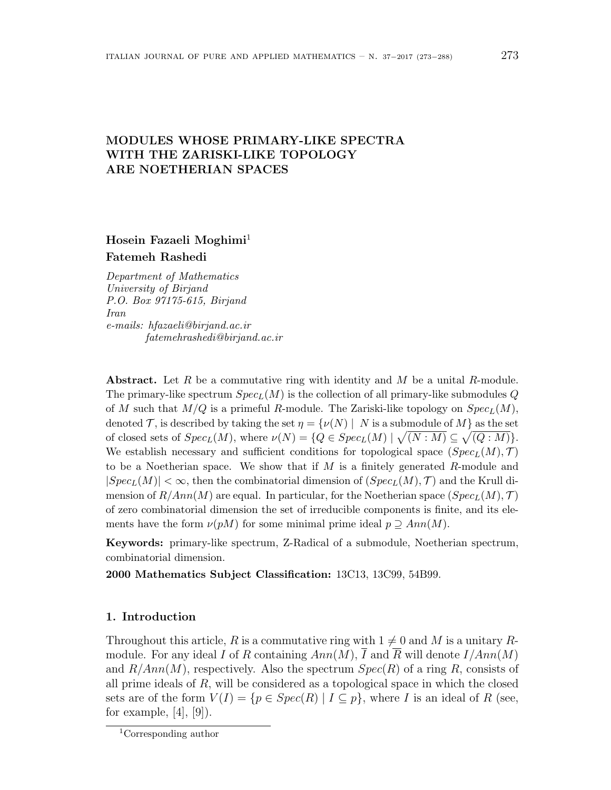# **MODULES WHOSE PRIMARY-LIKE SPECTRA WITH THE ZARISKI-LIKE TOPOLOGY ARE NOETHERIAN SPACES**

# **Hosein Fazaeli Moghimi**<sup>1</sup> **Fatemeh Rashedi**

*Department of Mathematics University of Birjand P.O. Box 97175-615, Birjand Iran e-mails: hfazaeli@birjand.ac.ir fatemehrashedi@birjand.ac.ir*

**Abstract.** Let *R* be a commutative ring with identity and *M* be a unital *R*-module. The primary-like spectrum *SpecL*(*M*) is the collection of all primary-like submodules *Q* of *M* such that  $M/Q$  is a primeful *R*-module. The Zariski-like topology on  $Spec_L(M)$ , denoted *T*, is described by taking the set  $\eta = {\gamma(N) | N \text{ is a submodule of } M}$  as the set of closed sets of  $Spec_L(M)$ , where  $\nu(N) = \{Q \in Spec_L(M) \mid \sqrt{(N:M)} \subseteq \sqrt{(Q:M)}\}.$ We establish necessary and sufficient conditions for topological space  $(Spec<sub>L</sub>(M), \mathcal{T})$ to be a Noetherian space. We show that if *M* is a finitely generated *R*-module and  $|Spec_L(M)| < \infty$ , then the combinatorial dimension of  $(Spec_L(M), \mathcal{T})$  and the Krull dimension of  $R/Ann(M)$  are equal. In particular, for the Noetherian space  $(Spec<sub>L</sub>(M), \mathcal{T})$ of zero combinatorial dimension the set of irreducible components is finite, and its elements have the form  $\nu(pM)$  for some minimal prime ideal  $p \supseteq Ann(M)$ .

**Keywords:** primary-like spectrum, Z-Radical of a submodule, Noetherian spectrum, combinatorial dimension.

**2000 Mathematics Subject Classification:** 13C13, 13C99, 54B99.

#### **1. Introduction**

Throughout this article, R is a commutative ring with  $1 \neq 0$  and M is a unitary Rmodule. For any ideal *I* of *R* containing  $Ann(M)$ ,  $\overline{I}$  and  $\overline{R}$  will denote  $I/Ann(M)$ and *R/Ann*(*M*), respectively. Also the spectrum *Spec*(*R*) of a ring *R*, consists of all prime ideals of *R*, will be considered as a topological space in which the closed sets are of the form  $V(I) = \{p \in Spec(R) \mid I \subseteq p\}$ , where *I* is an ideal of *R* (see, for example,  $[4]$ ,  $[9]$ ).

<sup>1</sup>Corresponding author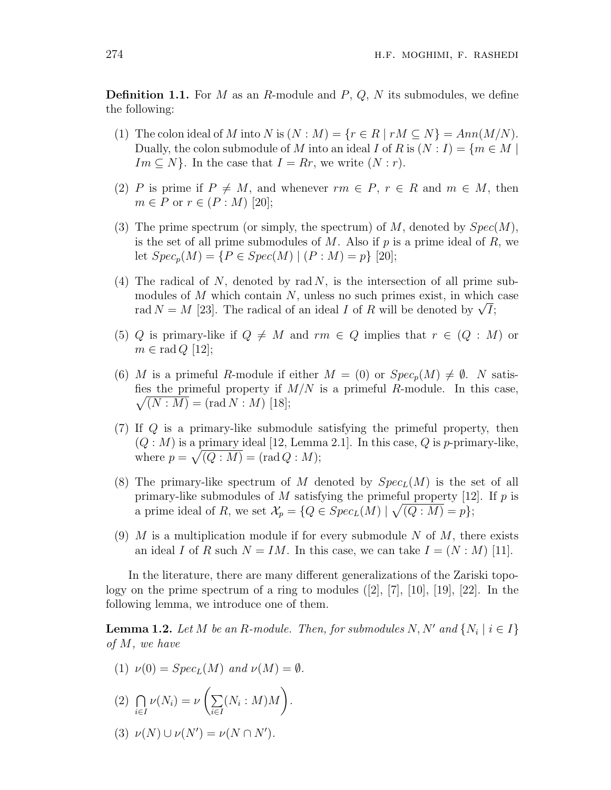**Definition 1.1.** For *M* as an *R*-module and *P*, *Q*, *N* its submodules, we define the following:

- (1) The colon ideal of *M* into *N* is  $(N : M) = \{r \in R \mid rM \subseteq N\} = Ann(M/N)$ . Dually, the colon submodule of *M* into an ideal *I* of *R* is  $(N: I) = \{m \in M \mid$  $Im \subseteq N$ . In the case that  $I = Rr$ , we write  $(N : r)$ .
- (2) *P* is prime if  $P \neq M$ , and whenever  $rm \in P$ ,  $r \in R$  and  $m \in M$ , then  $m \in P$  or  $r \in (P : M)$  [20];
- (3) The prime spectrum (or simply, the spectrum) of *M*, denoted by *Spec*(*M*), is the set of all prime submodules of  $M$ . Also if  $p$  is a prime ideal of  $R$ , we let  $Spec_p(M) = \{P \in Spec(M) \mid (P : M) = p\}$  [20];
- (4) The radical of *N*, denoted by rad *N*, is the intersection of all prime submodules of *M* which contain *N*, unless no such primes exist, in which case rad  $N = M$  [23]. The radical of an ideal *I* of *R* will be denoted by  $\sqrt{I}$ ;
- (5) *Q* is primary-like if  $Q \neq M$  and  $rm \in Q$  implies that  $r \in (Q : M)$  or  $m \in \text{rad } Q$  [12];
- (6) *M* is a primeful *R*-module if either  $M = (0)$  or  $Spec_p(M) \neq \emptyset$ . *N* satis- $\sqrt{(N:M)} = (\text{rad } N \cdot M)$  [18]; fies the primeful property if  $M/N$  is a primeful *R*-module. In this case,
- (7) If *Q* is a primary-like submodule satisfying the primeful property, then  $(Q: M)$  is a primary ideal [12, Lemma 2.1]. In this case,  $Q$  is *p*-primary-like, where  $p = \sqrt{(\overline{Q} : M)} = (\text{rad } Q : M);$
- (8) The primary-like spectrum of *M* denoted by *SpecL*(*M*) is the set of all primary-like submodules of *M* satisfying the primeful property [12]. If *p* is a prime ideal of *R*, we set  $\mathcal{X}_p = \{Q \in Spec_L(M) \mid \sqrt{(Q:M)} = p\};$
- (9) *M* is a multiplication module if for every submodule *N* of *M*, there exists an ideal *I* of *R* such  $N = IM$ . In this case, we can take  $I = (N : M)$  [11].

In the literature, there are many different generalizations of the Zariski topology on the prime spectrum of a ring to modules  $([2], [7], [10], [19], [22]$ . In the following lemma, we introduce one of them.

**Lemma 1.2.** *Let*  $M$  *be an*  $R$ *-module. Then, for submodules*  $N, N'$  *and*  $\{N_i \mid i \in I\}$ *of M, we have*

(1) 
$$
\nu(0) = Spec_L(M)
$$
 and  $\nu(M) = \emptyset$ .

$$
(2) \bigcap_{i \in I} \nu(N_i) = \nu \left( \sum_{i \in I} (N_i : M) M \right).
$$

 $\nu(N) \cup \nu(N') = \nu(N \cap N').$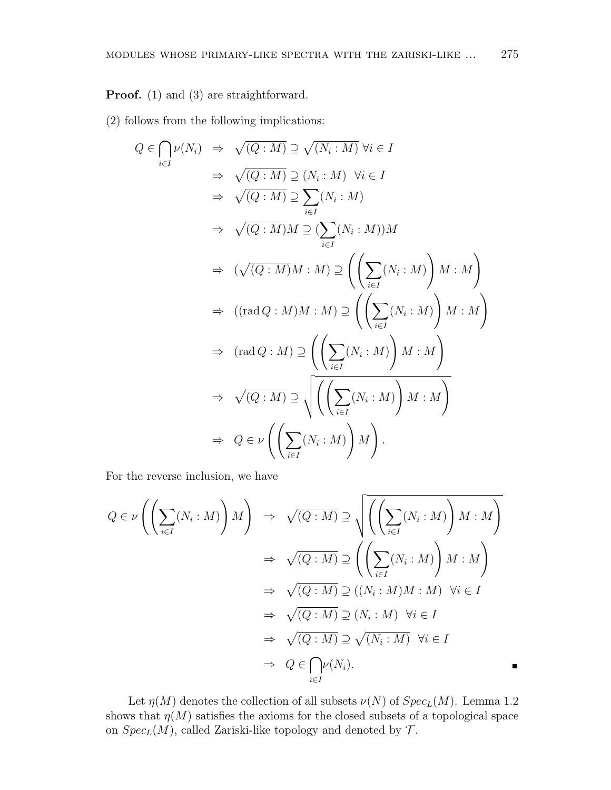**Proof.** (1) and (3) are straightforward.

(2) follows from the following implications:

$$
Q \in \bigcap_{i \in I} \nu(N_i) \Rightarrow \sqrt{(Q:M)} \supseteq \sqrt{(N_i:M)} \forall i \in I
$$
  
\n
$$
\Rightarrow \sqrt{(Q:M)} \supseteq (N_i:M) \forall i \in I
$$
  
\n
$$
\Rightarrow \sqrt{(Q:M)} \supseteq \sum_{i \in I} (N_i:M)
$$
  
\n
$$
\Rightarrow \sqrt{(Q:M)}M \supseteq (\sum_{i \in I} (N_i:M))M
$$
  
\n
$$
\Rightarrow (\sqrt{(Q:M)}M:M) \supseteq \left(\left(\sum_{i \in I} (N_i:M)\right)M:M\right)
$$
  
\n
$$
\Rightarrow ((\text{rad } Q:M)M:M) \supseteq \left(\left(\sum_{i \in I} (N_i:M)\right)M:M\right)
$$
  
\n
$$
\Rightarrow (\text{rad } Q:M) \supseteq \left(\left(\sum_{i \in I} (N_i:M)\right)M:M\right)
$$
  
\n
$$
\Rightarrow \sqrt{(Q:M)} \supseteq \sqrt{\left(\left(\sum_{i \in I} (N_i:M)\right)M:M\right)}
$$
  
\n
$$
\Rightarrow Q \in \nu \left(\left(\sum_{i \in I} (N_i:M)\right)M\right).
$$

For the reverse inclusion, we have

$$
Q \in \nu \left( \left( \sum_{i \in I} (N_i : M) \right) M \right) \Rightarrow \sqrt{(Q : M)} \supseteq \sqrt{\left( \left( \sum_{i \in I} (N_i : M) \right) M : M \right)}
$$
  

$$
\Rightarrow \sqrt{(Q : M)} \supseteq \left( \left( \sum_{i \in I} (N_i : M) \right) M : M \right)
$$
  

$$
\Rightarrow \sqrt{(Q : M)} \supseteq ((N_i : M) M : M) \quad \forall i \in I
$$
  

$$
\Rightarrow \sqrt{(Q : M)} \supseteq (N_i : M) \quad \forall i \in I
$$
  

$$
\Rightarrow \sqrt{(Q : M)} \supseteq \sqrt{(N_i : M)} \quad \forall i \in I
$$
  

$$
\Rightarrow Q \in \bigcap_{i \in I} \nu(N_i).
$$

Let  $\eta(M)$  denotes the collection of all subsets  $\nu(N)$  of  $Spec_L(M)$ . Lemma 1.2 shows that  $\eta(M)$  satisfies the axioms for the closed subsets of a topological space on  $Spec_L(M)$ , called Zariski-like topology and denoted by  $\mathcal{T}$ .

n,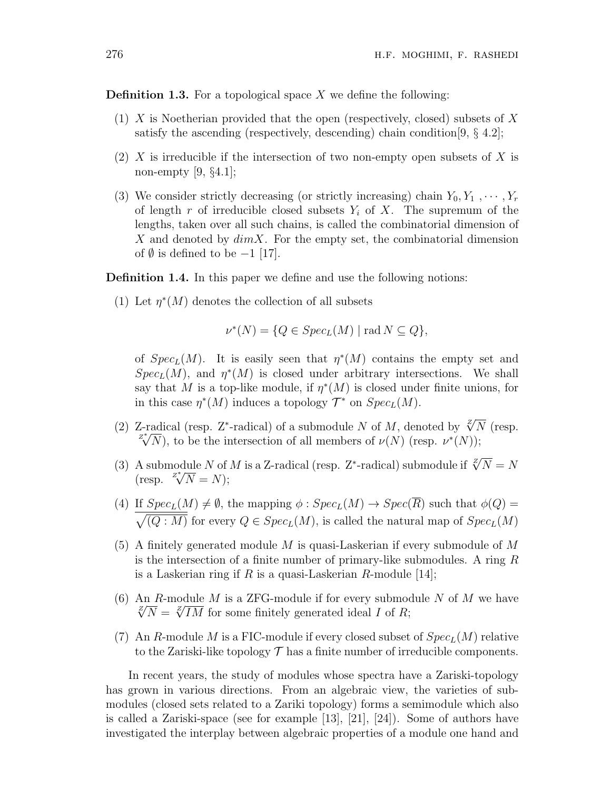**Definition 1.3.** For a topological space *X* we define the following:

- (1) *X* is Noetherian provided that the open (respectively, closed) subsets of *X* satisfy the ascending (respectively, descending) chain condition[9, *§* 4.2];
- (2) *X* is irreducible if the intersection of two non-empty open subsets of *X* is non-empty [9, *§*4.1];
- (3) We consider strictly decreasing (or strictly increasing) chain  $Y_0, Y_1, \cdots, Y_r$ of length *r* of irreducible closed subsets *Y<sup>i</sup>* of *X*. The supremum of the lengths, taken over all such chains, is called the combinatorial dimension of *X* and denoted by *dimX*. For the empty set, the combinatorial dimension of *∅* is defined to be *−*1 [17].

**Definition 1.4.** In this paper we define and use the following notions:

(1) Let  $\eta^*(M)$  denotes the collection of all subsets

$$
\nu^*(N) = \{ Q \in Spec_L(M) \mid \text{rad } N \subseteq Q \},
$$

of  $Spec_L(M)$ . It is easily seen that  $\eta^*(M)$  contains the empty set and *Spec<sub>L</sub>*(*M*), and  $\eta^*(M)$  is closed under arbitrary intersections. We shall say that *M* is a top-like module, if  $\eta^*(M)$  is closed under finite unions, for in this case  $\eta^*(M)$  induces a topology  $\mathcal{T}^*$  on  $Spec_L(M)$ .

- (2) Z-radical (resp. Z<sup>\*</sup>-radical) of a submodule *N* of *M*, denoted by  $\sqrt[2]{N}$  (resp. *z*<sup>*z*</sup><sub>*N*</sub></sub>), to be the intersection of all members of  $\nu(N)$  (resp.  $\nu^*(N)$ );
- (3) A submodule *N* of *M* is a Z-radical (resp. Z<sup>\*</sup>-radical) submodule if  $\sqrt[2]{N} = N$ A submodule *N* of<br>(resp.  $\sqrt{Z^*}/N = N$ );
- (4) If  $Spec_L(M) \neq \emptyset$ , the mapping  $\phi : Spec_L(M) \rightarrow Spec(\overline{R})$  such that  $\phi(Q) =$  $\sqrt{(Q:M)}$  for every  $Q \in Spec_L(M)$ , is called the natural map of  $Spec_L(M)$
- (5) A finitely generated module *M* is quasi-Laskerian if every submodule of *M* is the intersection of a finite number of primary-like submodules. A ring *R* is a Laskerian ring if *R* is a quasi-Laskerian *R*-module [14];
- (6) An *R*-module *M* is a ZFG-module if for every submodule *N* of *M* we have  $\sqrt[2]{N} = \sqrt[2]{IM}$  for some finitely generated ideal *I* of *R*;
- (7) An *R*-module *M* is a FIC-module if every closed subset of  $Spec_L(M)$  relative to the Zariski-like topology  $\mathcal T$  has a finite number of irreducible components.

In recent years, the study of modules whose spectra have a Zariski-topology has grown in various directions. From an algebraic view, the varieties of submodules (closed sets related to a Zariki topology) forms a semimodule which also is called a Zariski-space (see for example [13], [21], [24]). Some of authors have investigated the interplay between algebraic properties of a module one hand and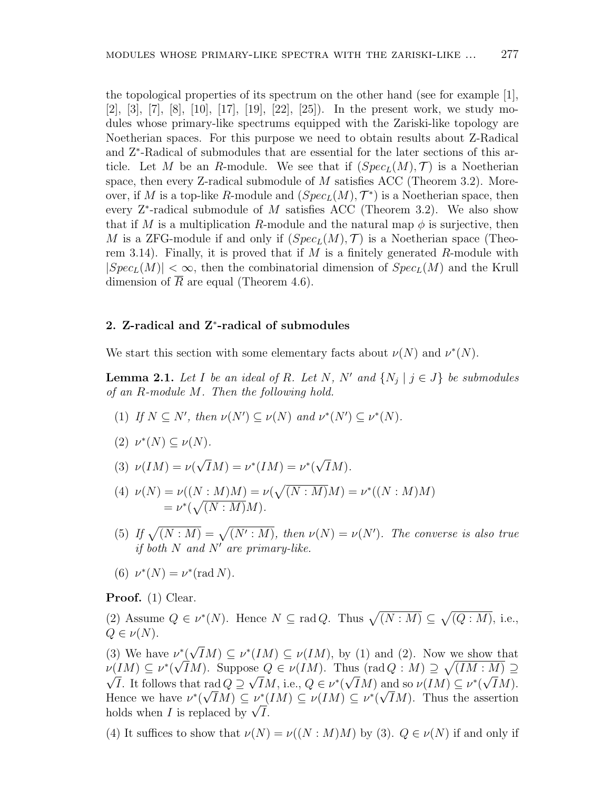the topological properties of its spectrum on the other hand (see for example [1], [2], [3], [7], [8], [10], [17], [19], [22], [25]). In the present work, we study modules whose primary-like spectrums equipped with the Zariski-like topology are Noetherian spaces. For this purpose we need to obtain results about Z-Radical and Z*<sup>∗</sup>* -Radical of submodules that are essential for the later sections of this article. Let *M* be an *R*-module. We see that if  $(Spec<sub>L</sub>(M), \mathcal{T})$  is a Noetherian space, then every Z-radical submodule of *M* satisfies ACC (Theorem 3.2). Moreover, if *M* is a top-like *R*-module and  $(Spec<sub>L</sub>(M), T^*)$  is a Noetherian space, then every Z*<sup>∗</sup>* -radical submodule of *M* satisfies ACC (Theorem 3.2). We also show that if *M* is a multiplication *R*-module and the natural map  $\phi$  is surjective, then *M* is a ZFG-module if and only if  $(Spec<sub>L</sub>(M), T)$  is a Noetherian space (Theorem 3.14). Finally, it is proved that if *M* is a finitely generated *R*-module with  $|Spec_L(M)| < \infty$ , then the combinatorial dimension of  $Spec_L(M)$  and the Krull dimension of  $\overline{R}$  are equal (Theorem 4.6).

## **2. Z-radical and Z***<sup>∗</sup>* **-radical of submodules**

We start this section with some elementary facts about  $\nu(N)$  and  $\nu^{*}(N)$ .

**Lemma 2.1.** Let *I* be an ideal of *R*. Let *N*, *N'* and  $\{N_j \mid j \in J\}$  be submodules *of an R-module M. Then the following hold.*

 $(V) \subseteq N'$ , then  $\nu(N') \subseteq \nu(N)$  and  $\nu^*(N') \subseteq \nu^*(N)$ .

$$
(2) \ \nu^*(N) \subseteq \nu(N).
$$

(3) 
$$
\nu(IM) = \nu(\sqrt{I}M) = \nu^*(IM) = \nu^*(\sqrt{I}M).
$$

- (4)  $\nu(N) = \nu((N : M)M) = \nu(\sqrt{(N : M)}M) = \nu^*((N : M)M)$  $= \nu^*(\sqrt{(N:M)}M).$
- (5) If  $\sqrt{(N : M)} = \sqrt{(N' : M)}$ , then  $\nu(N) = \nu(N')$ . The converse is also true *if both N and N′ are primary-like.*
- (6)  $\nu^*(N) = \nu^*(\text{rad } N)$ .

**Proof.** (1) Clear.

(2) Assume  $Q \in \nu^*(N)$ . Hence  $N \subseteq \text{rad } Q$ . Thus  $\sqrt{(N : M)} \subseteq \sqrt{(Q : M)}$ , i.e.,  $Q \in \nu(N)$ .

(3) We have *ν ∗* ( *√*  $\nu^*(\sqrt{IM}) \subseteq \nu^*(IM) \subseteq \nu(IM)$ , by (1) and (2). Now we show that  $\nu$ (*IM*)  $\subseteq \nu^*(\sqrt{I}M)$ . Suppose  $Q \in \nu(\overline{I}M)$ . Thus (rad  $Q : M$ )  $\supseteq \sqrt{(\overline{I}M : M)} \supseteq \overline{\nu}$ *I*. It follows that rad  $Q \supseteq \sqrt{IM}$ , i.e.,  $Q \in \nu^*(\sqrt{IM})$  and so  $\nu(IM) \subseteq \nu^*(\sqrt{IM})$ . Hence we have  $\nu^*(\sqrt{IM}) \subseteq \nu^*(IM) \subseteq \nu(IM) \subseteq \nu^*(\sqrt{IM})$ . Thus the assertion  $P(VIM) \subseteq V$ <br>holds when *I* is replaced by  $\sqrt{I}$ .

(4) It suffices to show that  $\nu(N) = \nu((N : M)M)$  by (3).  $Q \in \nu(N)$  if and only if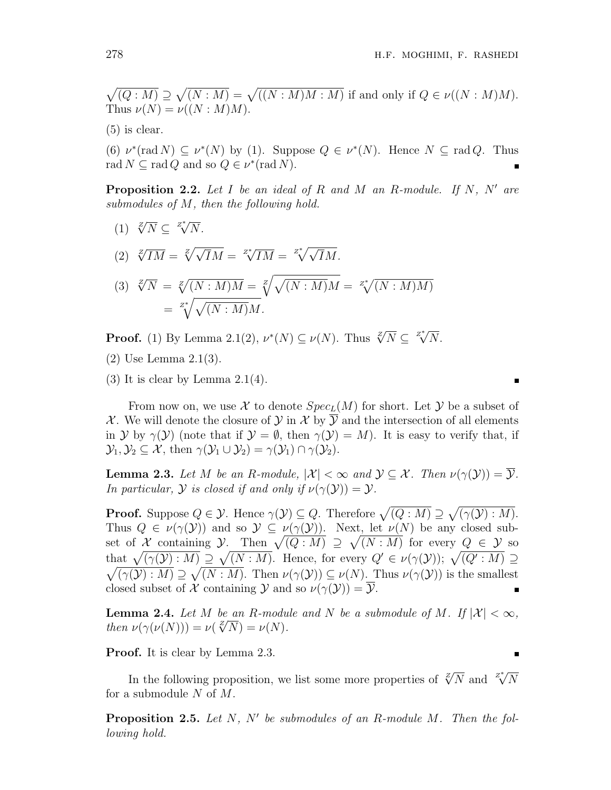$\sqrt{(Q:M)} \supseteq \sqrt{(N:M)} = \sqrt{((N:M)M:M)}$  if and only if  $Q \in \nu((N:M)M)$ . Thus  $\nu(N) = \nu((N : M)M)$ .

(5) is clear.

(6)  $\nu^*(\text{rad } N) \subseteq \nu^*(N)$  by (1). Suppose  $Q \in \nu^*(N)$ . Hence  $N \subseteq \text{rad } Q$ . Thus rad  $N \subseteq \text{rad } Q$  and so  $Q \in \nu^*(\text{rad } N)$ .

**Proposition 2.2.** *Let I be an ideal of R and M an R-module. If N, N′ are submodules of M, then the following hold.*

 $(1) \sqrt[\mathbb{Z}]{N} \subseteq \sqrt[\mathbb{Z}^*]{N}}.$ 

$$
(2) \sqrt[\mathbb{Z}]{IM} = \sqrt[\mathbb{Z}]{\sqrt{I}M} = \sqrt[\mathbb{Z}^*]{IM} = \sqrt[\mathbb{Z}^*]{\sqrt{I}M}.
$$

$$
\begin{aligned} \text{(3)} \ \sqrt[\mathcal{N}]{N} &= \sqrt[\mathcal{N}]{(N:M)M} = \sqrt[\mathcal{N}]{\sqrt{(N:M)M}} = \sqrt[\mathcal{N}]{(N:M)M} \\ &= \sqrt[\mathcal{N}]{\sqrt{(N:M)M}}. \end{aligned}
$$

**Proof.** (1) By Lemma 2.1(2),  $\nu^*(N) \subseteq \nu(N)$ . Thus  $\sqrt[2]{N} \subseteq \sqrt[2^*]{N}$ .

(2) Use Lemma 2.1(3).

 $(3)$  It is clear by Lemma 2.1 $(4)$ .

From now on, we use  $X$  to denote  $Spec_L(M)$  for short. Let  $Y$  be a subset of *X*. We will denote the closure of *Y* in *X* by  $\overline{Y}$  and the intersection of all elements in *Y* by  $\gamma(\mathcal{Y})$  (note that if  $\mathcal{Y} = \emptyset$ , then  $\gamma(\mathcal{Y}) = M$ ). It is easy to verify that, if  $\mathcal{Y}_1, \mathcal{Y}_2 \subseteq \mathcal{X}$ , then  $\gamma(\mathcal{Y}_1 \cup \mathcal{Y}_2) = \gamma(\mathcal{Y}_1) \cap \gamma(\mathcal{Y}_2)$ .

**Lemma 2.3.** Let M be an R-module,  $|\mathcal{X}| < \infty$  and  $\mathcal{Y} \subseteq \mathcal{X}$ . Then  $\nu(\gamma(\mathcal{Y})) = \overline{\mathcal{Y}}$ . *In particular,*  $\mathcal Y$  *is closed if and only if*  $\nu(\gamma(\mathcal Y)) = \mathcal Y$ *.* 

**Proof.** Suppose  $Q \in \mathcal{Y}$ . Hence  $\gamma(\mathcal{Y}) \subseteq Q$ . Therefore  $\sqrt{(Q : M)} \supseteq \sqrt{(\gamma(\mathcal{Y}) : M)}$ . Thus  $Q \in \nu(\gamma(\mathcal{Y}))$  and so  $\mathcal{Y} \subseteq \nu(\gamma(\mathcal{Y}))$ . Next, let  $\nu(N)$  be any closed subset of *X* containing *Y*. Then  $\sqrt{(Q: M)} \supseteq \sqrt{(N: M)}$  for every  $Q \in \mathcal{Y}$  so that  $\sqrt{(\gamma(\mathcal{Y}):M)} \supseteq \sqrt{(N:M)}$ . Hence, for every  $Q' \in \nu(\gamma(\mathcal{Y})); \sqrt{(Q':M)} \supseteq$  $\sqrt{(\gamma(\mathcal{Y}):M)} \supseteq \sqrt{(N:M)}$ . Then  $\nu(\gamma(\mathcal{Y})) \subseteq \nu(N)$ . Thus  $\nu(\gamma(\mathcal{Y}))$  is the smallest closed subset of *X* containing *Y* and so  $\nu(\gamma(\mathcal{Y})) = \overline{\mathcal{Y}}$ .

**Lemma 2.4.** *Let M be an R*-module and *N be a submodule of M*. If  $|\mathcal{X}| < \infty$ , *then*  $\nu(\gamma(\nu(N))) = \nu(\sqrt[Z]{N}) = \nu(N)$ .

**Proof.** It is clear by Lemma 2.3.

In the following proposition, we list some more properties of  $\sqrt[2]{N}$  and  $\sqrt[2^*]{N}$ for a submodule *N* of *M*.

**Proposition 2.5.** *Let N, N′ be submodules of an R-module M. Then the following hold.*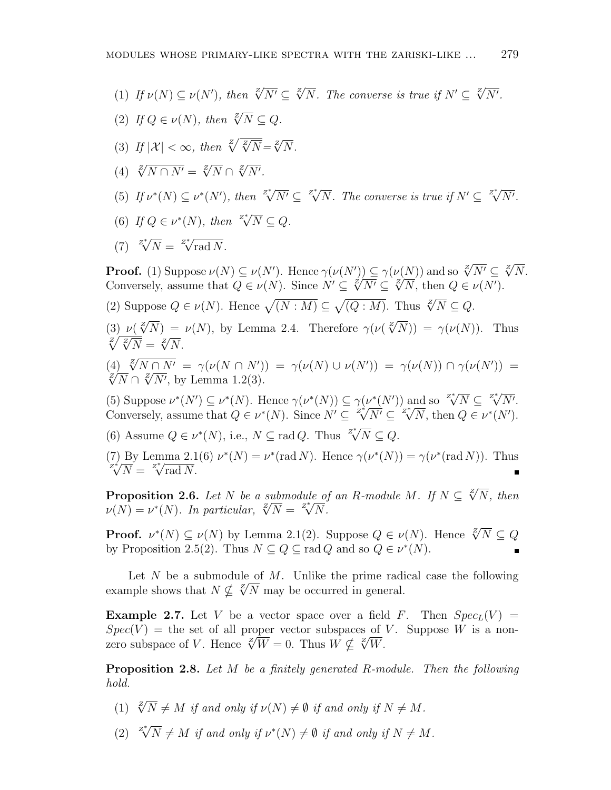- (1) If  $\nu(N) \subseteq \nu(N')$ , then  $\sqrt[Z]{N'} \subseteq \sqrt[Z]{N}$ . The converse is true if  $N' \subseteq \sqrt[Z]{N'}$ .
- (2) *If*  $Q \in \nu(N)$ , then  $\sqrt[Z]{N} \subseteq Q$ .
- (3) If  $|\mathcal{X}| < \infty$ , then  $\sqrt[z]{\sqrt[z]{N}} = \sqrt[z]{N}$ .
- $\sqrt{4}$   $\sqrt[2]{N} \cap N' = \sqrt[2]{N} \cap \sqrt[2]{N'}.$
- (5) If  $\nu^*(N) \subseteq \nu^*(N')$ , then  $\sqrt[\mathbb{Z}^*]{N'} \subseteq \sqrt[\mathbb{Z}^*]{N}$ . The converse is true if  $N' \subseteq \sqrt[\mathbb{Z}^*]{N'}$ .
- (6) *If*  $Q \in \nu^*(N)$ , then  $\sqrt[Z]{N} \subseteq Q$ .
- $Z^*$ <sup>*N*</sup> =  $Z^*$ <sup>*x*</sup>*n***ad** *N*.

**Proof.** (1) Suppose  $\nu(N) \subseteq \nu(N')$ . Hence  $\gamma(\nu(N')) \subseteq \gamma(\nu(N))$  and so  $\sqrt[2]{N'} \subseteq \sqrt[2]{N}$ . **Conversely, assume that**  $Q \in \nu(N)$ . Since  $N' \subseteq \sqrt[Z]{N'} \subseteq \sqrt[Z]{N}$ , then  $Q \in \nu(N')$ .

(2) Suppose  $Q \in \nu(N)$ . Hence  $\sqrt{(N:M)} \subseteq \sqrt{(Q:M)}$ . Thus  $\sqrt[Z]{N} \subseteq Q$ .

(3)  $\nu(\sqrt[\mathcal{Z}]{N}) = \nu(N)$ , by Lemma 2.4. Therefore  $\gamma(\nu(\sqrt[\mathcal{Z}]{N})) = \gamma(\nu(N))$ . Thus  $\sqrt{\frac{z}{\sqrt{N}}} = \sqrt{\frac{z}{N}}.$ 

(4)  $\sqrt[z]{N \cap N'}$  =  $\gamma(\nu(N \cap N'))$  =  $\gamma(\nu(N) \cup \nu(N'))$  =  $\gamma(\nu(N)) \cap \gamma(\nu(N'))$  =  $\sqrt[2]{N} \cap \sqrt[2]{N'}$ , by Lemma 1.2(3).

(5) Suppose  $\nu^*(N') \subseteq \nu^*(N)$ . Hence  $\gamma(\nu^*(N)) \subseteq \gamma(\nu^*(N'))$  and so  $\sqrt[\mathbb{Z}^*]{N} \subseteq \sqrt[\mathbb{Z}^*]{N'}$ . (b) suppose  $\nu^*(N) \subseteq \nu^*(N)$ . Hence  $\gamma(\nu^*(N)) \subseteq \gamma(\nu^*(N))$  and so  $\sqrt{N} \subseteq \sqrt{N}$ .<br>Conversely, assume that  $Q \in \nu^*(N)$ . Since  $N' \subseteq \sqrt[2^*]{N'} \subseteq \sqrt[2^*]{N}$ , then  $Q \in \nu^*(N')$ .

(6) Assume  $Q \in \nu^*(N)$ , i.e.,  $N \subseteq \text{rad } Q$ . Thus  $Z^* / N \subseteq Q$ .

(7) By Lemma 2.1(6)  $\nu^*(N) = \nu^*(\text{rad } N)$ . Hence  $\gamma(\nu^*(N)) = \gamma(\nu^*(\text{rad } N))$ . Thus  $Z^*$ <sup>*Z*</sup><sup>γ</sup> $\overline{N}$  =  $\overline{Z}^*$  $\overline{Y}$  rad  $\overline{N}$ .

**Proposition 2.6.** *Let N be a submodule of an R*-module *M*. *If*  $N \subseteq \sqrt[Z]{N}$ , then *v*(*N*) = *v*<sup>\*</sup>(*N*)*. In particular,*  $\sqrt[2]{N} = \sqrt[2^*]{N}$ .

**Proof.**  $\nu^*(N) \subseteq \nu(N)$  by Lemma 2.1(2). Suppose  $Q \in \nu(N)$ . Hence  $\sqrt[2]{N} \subseteq Q$ by Proposition 2.5(2). Thus  $N \subseteq Q \subseteq \text{rad } Q$  and so  $Q \in \nu^*(N)$ .

Let *N* be a submodule of *M*. Unlike the prime radical case the following Let *N* be a submodule of *M*. Unlike the prime radiation example shows that  $N \nsubseteq \sqrt[Z]{N}$  may be occurred in general.

**Example 2.7.** Let *V* be a vector space over a field *F*. Then  $Spec_L(V)$  =  $Spec(V)$  = the set of all proper vector subspaces of *V*. Suppose *W* is a non- $Spec(V)$  = the set of all proper vector subspaces of zero subspace of *V*. Hence  $\sqrt{2}W = 0$ . Thus  $W \nsubseteq \sqrt{2}W$ .

**Proposition 2.8.** *Let M be a finitely generated R-module. Then the following hold.*

- (1)  $\sqrt[2]{N} \neq M$  *if and only if*  $\nu(N) \neq \emptyset$  *if and only if*  $N \neq M$ *.*
- $(2)$   $\sqrt[2^{*}]{N} \neq M$  *if and only if*  $\nu^{*}(N) \neq \emptyset$  *if and only if*  $N \neq M$ *.*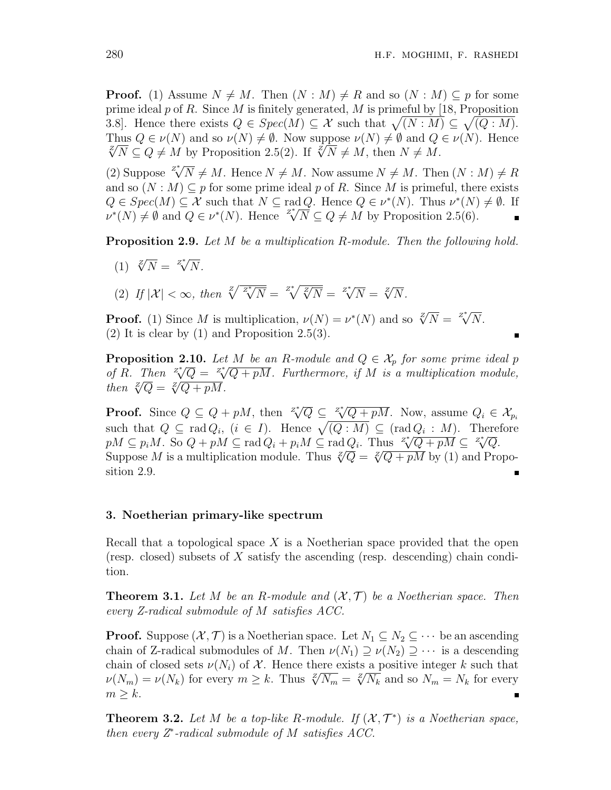**Proof.** (1) Assume  $N \neq M$ . Then  $(N : M) \neq R$  and so  $(N : M) \subseteq p$  for some prime ideal *p* of *R*. Since *M* is finitely generated, *M* is primeful by [18, Proposition 3.8. Hence there exists  $Q \in Spec(M) \subseteq \mathcal{X}$  such that  $\sqrt{(N:M)} \subseteq \sqrt{(Q:M)}$ . Thus  $Q \in \nu(N)$  and so  $\nu(N) \neq \emptyset$ . Now suppose  $\nu(N) \neq \emptyset$  and  $Q \in \nu(N)$ . Hence  $\sqrt[2]{N}$  ⊆  $Q \neq M$  by Proposition 2.5(2). If  $\sqrt[2]{N} \neq M$ , then  $N \neq M$ .

(2) Suppose  $\sqrt{Z^*}/N \neq M$ . Hence  $N \neq M$ . Now assume  $N \neq M$ . Then  $(N : M) \neq R$ and so  $(N : M) \subseteq p$  for some prime ideal p of R. Since M is primeful, there exists  $Q \in Spec(M) \subseteq \mathcal{X}$  such that  $N \subseteq rad Q$ . Hence  $Q \in \nu^*(N)$ . Thus  $\nu^*(N) \neq \emptyset$ . If  $Q \in Spec(M) \subseteq \mathcal{X}$  such that  $N \subseteq \text{rad } Q$ . Hence  $Q \in \mathcal{V}(N)$ . Thus  $\mathcal{V}(N)$ <br>  $\nu^*(N) \neq \emptyset$  and  $Q \in \nu^*(N)$ . Hence  $\mathbb{Z}^*_{\sqrt{N}} \subseteq Q \neq M$  by Proposition 2.5(6).  $\blacksquare$ 

**Proposition 2.9.** *Let M be a multiplication R-module. Then the following hold.*

- $(1) \sqrt[2]{N} = \sqrt[2^*]{N}$ .
- $\mathcal{L}(2)$  *If*  $|\mathcal{X}| < \infty$ , then  $\sqrt[z]{z^*}/\sqrt[x]{N} = \sqrt[z]{\sqrt[z]{N}} = \sqrt[z]{N} = \sqrt[z]{N}$ .

**Proof.** (1) Since *M* is multiplication,  $\nu(N) = \nu^*(N)$  and so  $\sqrt[2]{N} = \sqrt[2^*]{N}$ .  $(2)$  It is clear by  $(1)$  and Proposition 2.5(3).

**Proposition 2.10.** *Let M be an R*-module and  $Q \in \mathcal{X}_p$  for some prime ideal p *of R.* Then  $\sqrt[z]{Q} = \sqrt[z]{Q + pM}$ . Furthermore, if *M* is a multiplication module,  $\forall Q \in \sqrt{Q}$ <br>then  $\sqrt{Q} = \sqrt{Q + pM}$ .

**Proof.** Since  $Q \subseteq Q + pM$ , then  $Z^* \overline{Q} \subseteq Z^* \overline{Q + pM}$ . Now, assume  $Q_i \in \mathcal{X}_{p_i}$ such that  $Q \subseteq \text{rad } Q_i$ ,  $(i \in I)$ . Hence  $\sqrt{(Q : M)} \subseteq (\text{rad } Q_i : M)$ . Therefore such that  $Q \subseteq \text{rad } Q_i$ ,  $(i \in I)$ . Hence  $\sqrt{(Q \cdot M)} \subseteq (\text{rad } Q_i \cdot M)$ . There  $pM \subseteq p_iM$ . So  $Q + pM \subseteq \text{rad } Q_i + p_iM \subseteq \text{rad } Q_i$ . Thus  $\sqrt[p]{Q + pM} \subseteq \sqrt[p]{Q}$ .  $p_1w \subseteq p_iw$ . So  $Q + pM \subseteq \text{rad } Q_i + p_iw \subseteq \text{rad } Q_i$ . Thus  $\sqrt{Q} + pM \subseteq \sqrt{Q}$ .<br>Suppose *M* is a multiplication module. Thus  $\sqrt[q]{Q} = \sqrt[q]{Q + pM}$  by (1) and Proposition 2.9.

#### **3. Noetherian primary-like spectrum**

Recall that a topological space *X* is a Noetherian space provided that the open (resp. closed) subsets of *X* satisfy the ascending (resp. descending) chain condition.

**Theorem 3.1.** Let M be an R-module and  $(X, \mathcal{T})$  be a Noetherian space. Then *every Z-radical submodule of M satisfies ACC.*

**Proof.** Suppose  $(X, \mathcal{T})$  is a Noetherian space. Let  $N_1 \subseteq N_2 \subseteq \cdots$  be an ascending chain of Z-radical submodules of *M*. Then  $\nu(N_1) \supseteq \nu(N_2) \supseteq \cdots$  is a descending chain of closed sets  $\nu(N_i)$  of X. Hence there exists a positive integer k such that *ν*(*N<sub>m</sub>*) = *ν*(*N<sub>k</sub>*) for every  $m \geq k$ . Thus  $\sqrt[z]{N_m} = \sqrt[z]{N_k}$  and so  $N_m = N_k$  for every  $m \geq k$ .

**Theorem 3.2.** Let M be a top-like R-module. If  $(X, \mathcal{T}^*)$  is a Noetherian space, *then every Z<sup>∗</sup> -radical submodule of M satisfies ACC.*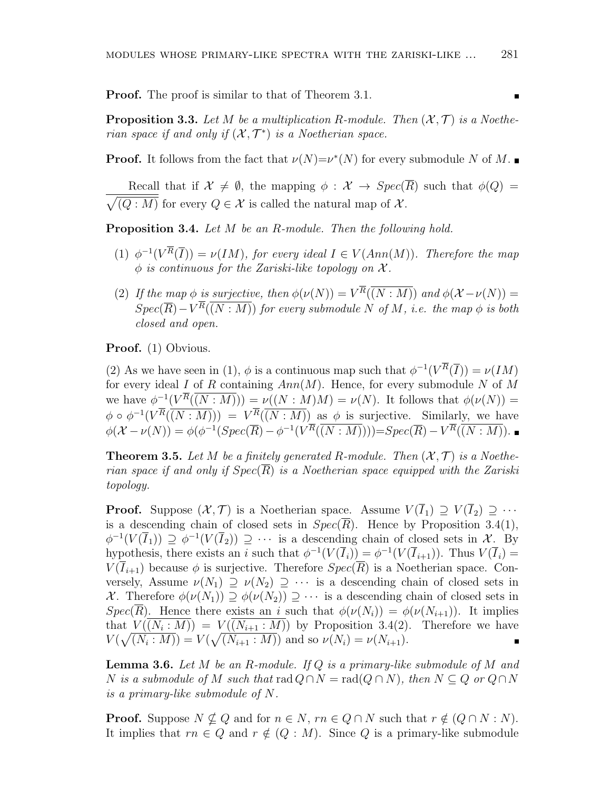**Proof.** The proof is similar to that of Theorem 3.1.

**Proposition 3.3.** Let M be a multiplication R-module. Then  $(X, \mathcal{T})$  is a Noethe*rian space if and only if*  $(X, \mathcal{T}^*)$  *is a Noetherian space.* 

**Proof.** It follows from the fact that  $\nu(N)=\nu^*(N)$  for every submodule N of M.

Recall that if  $\mathcal{X} \neq \emptyset$ , the mapping  $\phi : \mathcal{X} \rightarrow Spec(\overline{R})$  such that  $\phi(Q) =$  $\sqrt{(Q: M)}$  for every  $Q \in \mathcal{X}$  is called the natural map of  $\mathcal{X}$ .

**Proposition 3.4.** *Let M be an R-module. Then the following hold.*

- (1)  $\phi^{-1}(V^R(\overline{I})) = \nu(IM)$ , for every ideal  $I \in V(Ann(M))$ . Therefore the map  $\phi$  *is continuous for the Zariski-like topology on*  $\mathcal{X}$ *.*
- (2) If the map  $\phi$  is surjective, then  $\phi(\nu(N)) = V^R(\overline{(N : M)})$  and  $\phi(\mathcal{X} \nu(N)) =$  $Spec(\overline{R}) - V^R(\overline{(N : M)})$  *for every submodule N of M, i.e. the map*  $\phi$  *is both closed and open.*

**Proof.** (1) Obvious.

(2) As we have seen in (1),  $\phi$  is a continuous map such that  $\phi^{-1}(V^R(\overline{I})) = \nu(IM)$ for every ideal *I* of *R* containing *Ann*(*M*). Hence, for every submodule *N* of *M* we have  $\phi^{-1}(V^R(\overline{(N:M)})) = \nu((N:M)M) = \nu(N)$ . It follows that  $\phi(\nu(N)) =$  $\phi \circ \phi^{-1}(V^R(\overline{(N:M)})) = V^R(\overline{(N:M)})$  as  $\phi$  is surjective. Similarly, we have  $\phi(\mathcal{X}-\nu(N)) = \phi(\phi^{-1}(Spec(\overline{R})-\phi^{-1}(V^R(\overline{(N:M)})))=Spec(\overline{R})-V^R(\overline{(N:M)}).$ 

**Theorem 3.5.** Let M be a finitely generated R-module. Then  $(X, \mathcal{T})$  is a Noethe*rian space if and only if Spec*(*R*) *is a Noetherian space equipped with the Zariski topology.*

**Proof.** Suppose  $(\mathcal{X}, \mathcal{T})$  is a Noetherian space. Assume  $V(\overline{I}_1) \supseteq V(\overline{I}_2) \supseteq \cdots$ is a descending chain of closed sets in  $Spec(\overline{R})$ . Hence by Proposition 3.4(1),  $\phi^{-1}(V(\overline{I}_1)) \supseteq \phi^{-1}(V(\overline{I}_2)) \supseteq \cdots$  is a descending chain of closed sets in *X*. By hypothesis, there exists an *i* such that  $\phi^{-1}(V(\overline{I}_i)) = \phi^{-1}(V(\overline{I}_{i+1}))$ . Thus  $V(\overline{I}_i) =$  $V(\overline{I}_{i+1})$  because  $\phi$  is surjective. Therefore  $Spec(\overline{R})$  is a Noetherian space. Conversely, Assume  $\nu(N_1) \supseteq \nu(N_2) \supseteq \cdots$  is a descending chain of closed sets in *X*. Therefore  $\phi(\nu(N_1)) \supseteq \phi(\nu(N_2)) \supseteq \cdots$  is a descending chain of closed sets in *Spec*(*R*). Hence there exists an *i* such that  $\phi(\nu(N_i)) = \phi(\nu(N_{i+1}))$ . It implies that  $V((N_i : M)) = V((N_{i+1} : M))$  by Proposition 3.4(2). Therefore we have  $V(\sqrt{(N_i : M)}) = V(\sqrt{(N_{i+1} : M)})$  and so  $\nu(N_i) = \nu(N_{i+1}).$ 

**Lemma 3.6.** *Let M be an R-module. If Q is a primary-like submodule of M and N* is a submodule of *M* such that rad  $Q \cap N = \text{rad}(Q \cap N)$ , then  $N \subseteq Q$  or  $Q \cap N$ *is a primary-like submodule of N.*

**Proof.** Suppose  $N \nsubseteq Q$  and for  $n \in N$ ,  $rn \in Q \cap N$  such that  $r \notin (Q \cap N : N)$ . It implies that  $rn \in Q$  and  $r \notin (Q : M)$ . Since *Q* is a primary-like submodule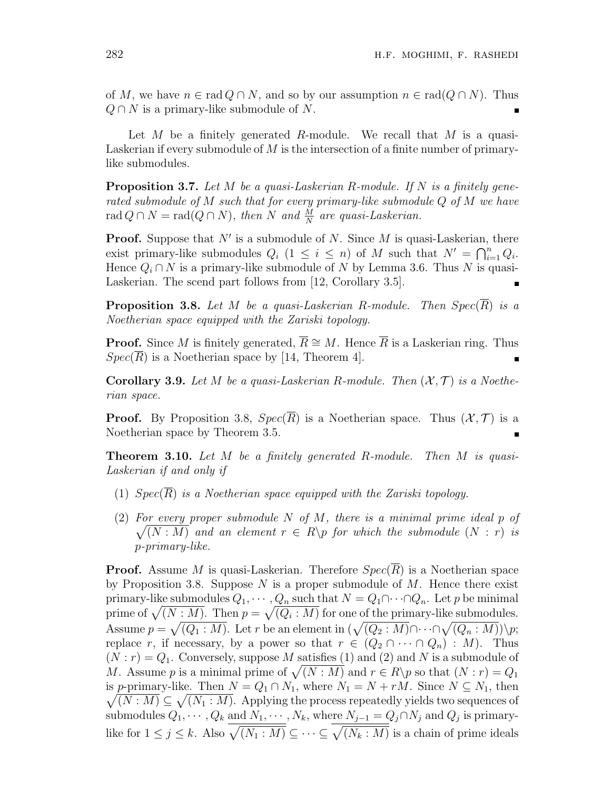of *M*, we have  $n \in \text{rad } Q \cap N$ , and so by our assumption  $n \in \text{rad}(Q \cap N)$ . Thus *Q ∩ N* is a primary-like submodule of *N*.

Let *M* be a finitely generated *R*-module. We recall that *M* is a quasi-Laskerian if every submodule of *M* is the intersection of a finite number of primarylike submodules.

**Proposition 3.7.** *Let M be a quasi-Laskerian R-module. If N is a finitely generated submodule of M such that for every primary-like submodule Q of M we have*  $rad Q \cap N = rad(Q \cap N)$ , then *N* and  $\frac{M}{N}$  are quasi-Laskerian.

**Proof.** Suppose that N' is a submodule of N. Since M is quasi-Laskerian, there exist primary-like submodules  $Q_i$  (1  $\leq i \leq n$ ) of *M* such that  $N' = \bigcap_{i=1}^n Q_i$ . Hence  $Q_i \cap N$  is a primary-like submodule of  $N$  by Lemma 3.6. Thus  $N$  is quasi-Laskerian. The scend part follows from [12, Corollary 3.5].

**Proposition 3.8.** Let *M* be a quasi-Laskerian R-module. Then  $Spec(\overline{R})$  is a *Noetherian space equipped with the Zariski topology.*

**Proof.** Since *M* is finitely generated,  $\overline{R} \cong M$ . Hence  $\overline{R}$  is a Laskerian ring. Thus  $Spec(R)$  is a Noetherian space by [14, Theorem 4].

**Corollary 3.9.** Let M be a quasi-Laskerian R-module. Then  $(X, \mathcal{T})$  is a Noethe*rian space.*

**Proof.** By Proposition 3.8,  $Spec(\overline{R})$  is a Noetherian space. Thus  $(\mathcal{X}, \mathcal{T})$  is a Noetherian space by Theorem 3.5.

**Theorem 3.10.** *Let M be a finitely generated R-module. Then M is quasi-Laskerian if and only if*

- (1)  $Spec(\overline{R})$  *is a Noetherian space equipped with the Zariski topology.*
- (2) *For every proper submodule N of M, there is a minimal prime ideal p of*  $\sqrt{(N : M)}$  and an element  $r \in R$  *p* for which the submodule  $(N : r)$  is *p-primary-like.*

**Proof.** Assume *M* is quasi-Laskerian. Therefore *Spec*(*R*) is a Noetherian space by Proposition 3.8. Suppose *N* is a proper submodule of *M*. Hence there exist primary-like submodules  $Q_1, \cdots, Q_n$  such that  $N = Q_1 \cap \cdots \cap Q_n$ . Let *p* be minimal prime of  $\sqrt{(N : M)}$ . Then  $p = \sqrt{(Q_i : M)}$  for one of the primary-like submodules. Assume  $p = \sqrt{(Q_1 : M)}$ . Let *r* be an element in  $(\sqrt{(Q_2 : M)} \cap \cdots \cap \sqrt{(Q_n : M)}) \backslash p$ ; replace *r*, if necessary, by a power so that  $r \in (Q_2 \cap \cdots \cap Q_n) : M$ . Thus  $(N : r) = Q_1$ . Conversely, suppose M satisfies (1) and (2) and N is a submodule of *M*. Assume *p* is a minimal prime of  $\sqrt{(N : M)}$  and  $r \in R \backslash p$  so that  $(N : r) = Q_1$  $\sqrt{(N : M)} \subseteq \sqrt{(N_1 : M)}$ . Applying the process repeatedly yields two sequences of is *p*-primary-like. Then  $N = Q_1 \cap N_1$ , where  $N_1 = N + rM$ . Since  $N \subseteq N_1$ , then submodules  $Q_1, \dots, Q_k$  and  $N_1, \dots, N_k$ , where  $N_{j-1} = Q_j \cap N_j$  and  $Q_j$  is primarylike for  $1 \leq j \leq k$ . Also  $\sqrt{(N_1 : M)} \subseteq \cdots \subseteq \sqrt{(N_k : M)}$  is a chain of prime ideals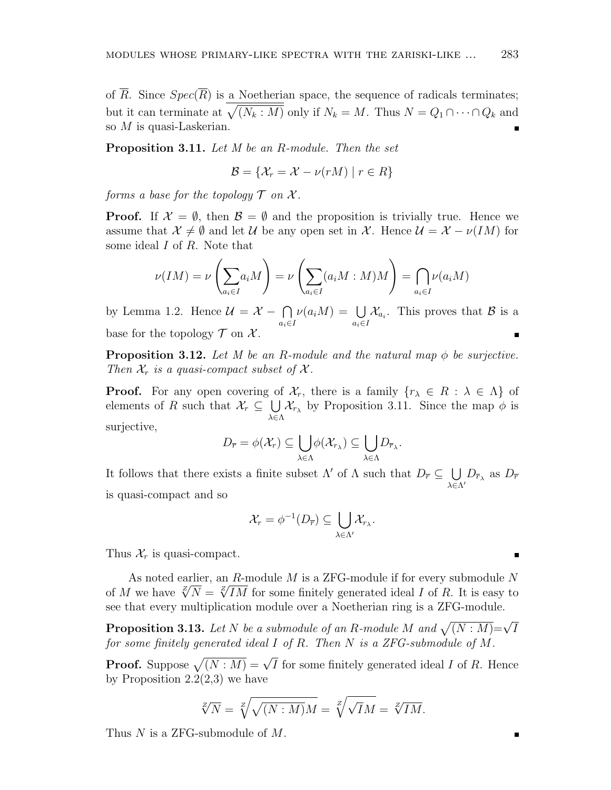of  $\overline{R}$ . Since  $Spec(\overline{R})$  is a Noetherian space, the sequence of radicals terminates; but it can terminate at  $\sqrt{(N_k : M)}$  only if  $N_k = M$ . Thus  $N = Q_1 \cap \cdots \cap Q_k$  and so *M* is quasi-Laskerian.

**Proposition 3.11.** *Let M be an R-module. Then the set*

$$
\mathcal{B} = \{ \mathcal{X}_r = \mathcal{X} - \nu(rM) \mid r \in R \}
$$

*forms a base for the topology*  $\mathcal T$  *on*  $\mathcal X$ *.* 

**Proof.** If  $\mathcal{X} = \emptyset$ , then  $\mathcal{B} = \emptyset$  and the proposition is trivially true. Hence we assume that  $\mathcal{X} \neq \emptyset$  and let  $\mathcal{U}$  be any open set in  $\mathcal{X}$ . Hence  $\mathcal{U} = \mathcal{X} - \nu(\mathcal{I}M)$  for some ideal *I* of *R*. Note that

$$
\nu(IM) = \nu\left(\sum_{a_i \in I} a_i M\right) = \nu\left(\sum_{a_i \in I} (a_i M : M) M\right) = \bigcap_{a_i \in I} \nu(a_i M)
$$

by Lemma 1.2. Hence  $\mathcal{U} = \mathcal{X} - \bigcap$ *ai∈I*  $\nu(a_iM) = \bigcup$ *ai∈I*  $\mathcal{X}_{a_i}$ . This proves that *B* is a base for the topology  $\mathcal T$  on  $\mathcal X$ .

**Proposition 3.12.** Let M be an R-module and the natural map  $\phi$  be surjective. *Then*  $\mathcal{X}_r$  *is a quasi-compact subset of*  $\mathcal{X}$ *.* 

**Proof.** For any open covering of  $\mathcal{X}_r$ , there is a family  $\{r_\lambda \in R : \lambda \in \Lambda\}$  of elements of *R* such that  $\mathcal{X}_r \subseteq \bigcup$ *λ∈*Λ  $\mathcal{X}_{r_{\lambda}}$  by Proposition 3.11. Since the map  $\phi$  is surjective,

$$
D_{\overline{r}} = \phi(\mathcal{X}_r) \subseteq \bigcup_{\lambda \in \Lambda} \phi(\mathcal{X}_{r_{\lambda}}) \subseteq \bigcup_{\lambda \in \Lambda} D_{\overline{r}_{\lambda}}.
$$

It follows that there exists a finite subset  $\Lambda'$  of  $\Lambda$  such that  $D_{\overline{r}} \subseteq \bigcup D_{\overline{r}_\lambda}$  as  $D_{\overline{r}}$ *λ∈*Λ*′* is quasi-compact and so

$$
\mathcal{X}_r = \phi^{-1}(D_{\overline{r}}) \subseteq \bigcup_{\lambda \in \Lambda'} \mathcal{X}_{r_{\lambda}}.
$$

Thus  $\mathcal{X}_r$  is quasi-compact.

As noted earlier, an *R*-module *M* is a ZFG-module if for every submodule *N* As noted earlier, an *R*-module *M* is a *ZF* G-module if for every submodule *N* of *M* we have  $\sqrt{N} = \sqrt{IM}$  for some finitely generated ideal *I* of *R*. It is easy to see that every multiplication module over a Noetherian ring is a ZFG-module.

**Proposition 3.13.** *Let*  $N$  *be a submodule of an*  $R$ *-module*  $M$  *and*  $\sqrt{(N : M)} = \sqrt{I}$ *for some finitely generated ideal I of R. Then N is a ZFG-submodule of M.*

**Proof.** Suppose  $\sqrt{(N : M)} = \sqrt{I}$  for some finitely generated ideal *I* of *R*. Hence by Proposition  $2.2(2,3)$  we have

$$
\sqrt[Z]{N} = \sqrt[Z]{\sqrt{(N:M)M}} = \sqrt[Z]{\sqrt{I}M} = \sqrt[Z]{IM}.
$$

Thus *N* is a ZFG-submodule of *M*.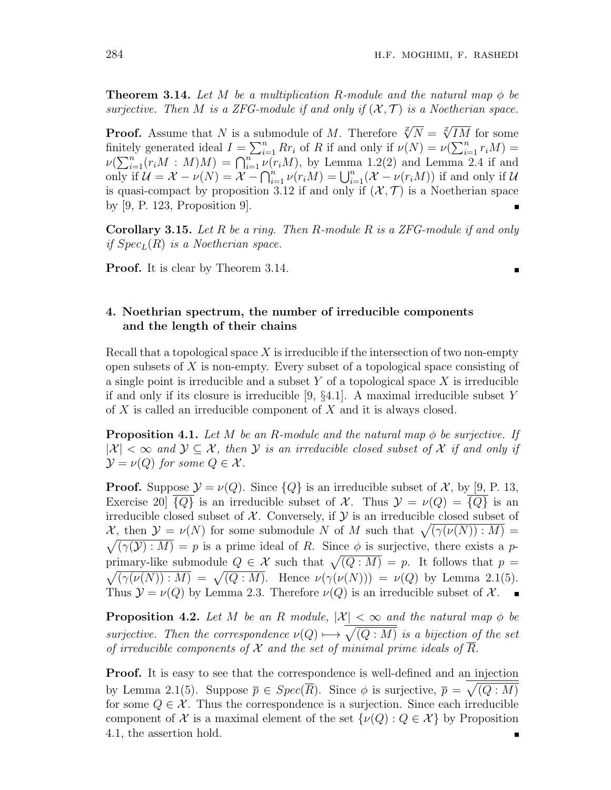**Theorem 3.14.** Let M be a multiplication R-module and the natural map  $\phi$  be *surjective. Then M is a ZFG-module if and only if*  $(X, \mathcal{T})$  *is a Noetherian space.* 

**Proof.** Assume that *N* is a submodule of *M*. Therefore  $\sqrt[Z]{N} = \sqrt[Z]{IM}$  for some finitely generated ideal  $I = \sum_{i=1}^{n} Rr_i$  of *R* if and only if  $\nu(N) = \nu(\sum_{i=1}^{n} r_i M) =$  $\nu(\sum_{i=1}^n (r_i M : M)M) = \bigcap_{i=1}^n \nu(r_i M)$ , by Lemma 1.2(2) and Lemma 2.4 if and only if  $\mathcal{U} = \mathcal{X} - \nu(N) = \mathcal{X} - \bigcap_{i=1}^{n} \nu(r_i M) = \bigcup_{i=1}^{n} (\mathcal{X} - \nu(r_i M))$  if and only if  $\mathcal{U}$ is quasi-compact by proposition 3.12 if and only if  $(X, \mathcal{T})$  is a Noetherian space by [9, P. 123, Proposition 9].

**Corollary 3.15.** *Let R be a ring. Then R-module R is a ZFG-module if and only if SpecL*(*R*) *is a Noetherian space.*

**Proof.** It is clear by Theorem 3.14.

# **4. Noethrian spectrum, the number of irreducible components and the length of their chains**

Recall that a topological space *X* is irreducible if the intersection of two non-empty open subsets of *X* is non-empty. Every subset of a topological space consisting of a single point is irreducible and a subset *Y* of a topological space *X* is irreducible if and only if its closure is irreducible [9, *§*4.1]. A maximal irreducible subset *Y* of *X* is called an irreducible component of *X* and it is always closed.

**Proposition 4.1.** Let  $M$  be an  $R$ -module and the natural map  $\phi$  be surjective. If  $|X| < \infty$  and  $Y \subseteq \mathcal{X}$ , then Y is an irreducible closed subset of X if and only if  $\mathcal{Y} = \nu(Q)$  *for some*  $Q \in \mathcal{X}$ *.* 

**Proof.** Suppose  $\mathcal{Y} = \nu(Q)$ . Since  $\{Q\}$  is an irreducible subset of X, by [9, P. 13, Exercise 20  $\{Q\}$  is an irreducible subset of *X*. Thus  $\mathcal{Y} = \nu(Q) = \{Q\}$  is an irreducible closed subset of  $X$ . Conversely, if  $Y$  is an irreducible closed subset of *X*, then  $\mathcal{Y} = \nu(N)$  for some submodule *N* of *M* such that  $\sqrt{(\gamma(\nu(N)) : M)}$  $\sqrt{(\gamma(\mathcal{Y}) : M)} = p$  is a prime ideal of *R*. Since  $\phi$  is surjective, there exists a *p*primary-like submodule  $Q \in \mathcal{X}$  such that  $\sqrt{(Q : M)} = p$ . It follows that  $p =$  $\sqrt{(\gamma(\nu(N)) : M)} = \sqrt{(Q : M)}$ . Hence  $\nu(\gamma(\nu(N))) = \nu(Q)$  by Lemma 2.1(5). Thus  $\mathcal{Y} = \nu(Q)$  by Lemma 2.3. Therefore  $\nu(Q)$  is an irreducible subset of  $\mathcal{X}$ .

**Proposition 4.2.** Let M be an R module,  $|\mathcal{X}| < \infty$  and the natural map  $\phi$  be *surjective. Then the correspondence*  $\nu(Q) \mapsto \sqrt{(Q:M)}$  *is a bijection of the set of irreducible components of*  $X$  *and the set of minimal prime ideals of*  $\overline{R}$ *.* 

**Proof.** It is easy to see that the correspondence is well-defined and an injection by Lemma 2.1(5). Suppose  $\overline{p} \in Spec(\overline{R})$ . Since  $\phi$  is surjective,  $\overline{p} = \sqrt{(Q : M)}$ for some  $Q \in \mathcal{X}$ . Thus the correspondence is a surjection. Since each irreducible component of *X* is a maximal element of the set  $\{\nu(Q): Q \in \mathcal{X}\}\)$  by Proposition 4.1, the assertion hold.

 $\blacksquare$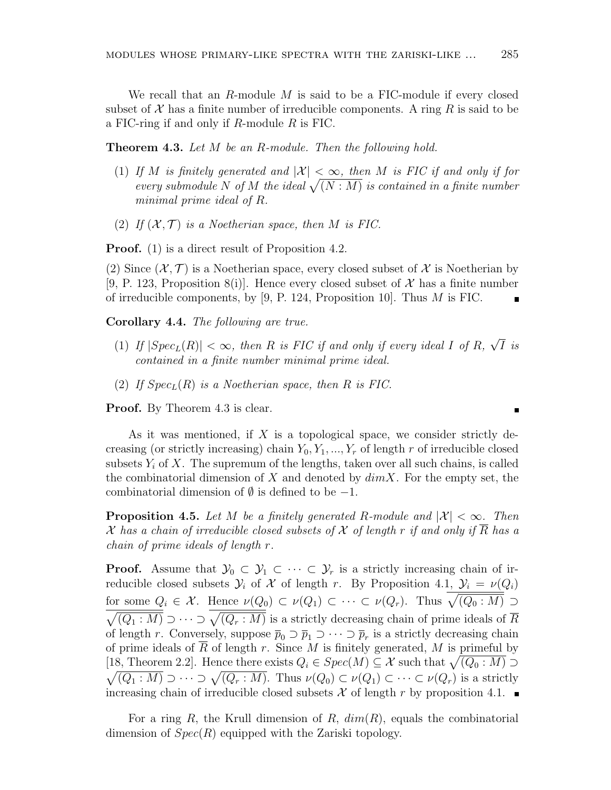We recall that an *R*-module *M* is said to be a FIC-module if every closed subset of  $\mathcal X$  has a finite number of irreducible components. A ring  $R$  is said to be a FIC-ring if and only if *R*-module *R* is FIC.

**Theorem 4.3.** *Let M be an R-module. Then the following hold.*

- (1) If *M* is finitely generated and  $|\mathcal{X}| < \infty$ , then *M* is FIC if and only if for *every submodule N of M the ideal*  $\sqrt{(N : M)}$  *is contained in a finite number minimal prime ideal of R.*
- (2) If  $(X, \mathcal{T})$  is a Noetherian space, then M is FIC.

**Proof.** (1) is a direct result of Proposition 4.2.

(2) Since  $(\mathcal{X}, \mathcal{T})$  is a Noetherian space, every closed subset of  $\mathcal{X}$  is Noetherian by [9, P. 123, Proposition 8(i)]. Hence every closed subset of  $\mathcal X$  has a finite number of irreducible components, by [9, P. 124, Proposition 10]. Thus *M* is FIC.

**Corollary 4.4.** *The following are true.*

- $(1)$  *If*  $|Spec_L(R)| < \infty$ , then *R* is *FIC* if and only if every ideal *I* of *R*, *√ I is contained in a finite number minimal prime ideal.*
- (2) If  $Spec_L(R)$  *is a Noetherian space, then*  $R$  *is FIC.*

**Proof.** By Theorem 4.3 is clear.

As it was mentioned, if *X* is a topological space, we consider strictly decreasing (or strictly increasing) chain  $Y_0, Y_1, ..., Y_r$  of length  $r$  of irreducible closed subsets  $Y_i$  of  $X$ . The supremum of the lengths, taken over all such chains, is called the combinatorial dimension of *X* and denoted by *dimX*. For the empty set, the combinatorial dimension of *∅* is defined to be *−*1.

**Proposition 4.5.** Let M be a finitely generated R-module and  $|\mathcal{X}| < \infty$ . Then *X* has a chain of irreducible closed subsets of X of length r if and only if  $\overline{R}$  has a *chain of prime ideals of length r.*

**Proof.** Assume that  $\mathcal{Y}_0 \subset \mathcal{Y}_1 \subset \cdots \subset \mathcal{Y}_r$  is a strictly increasing chain of irreducible closed subsets  $\mathcal{Y}_i$  of  $\mathcal{X}$  of length *r*. By Proposition 4.1,  $\mathcal{Y}_i = \nu(Q_i)$ for some  $Q_i \in \mathcal{X}$ . Hence  $\nu(Q_0) \subset \nu(Q_1) \subset \cdots \subset \nu(Q_r)$ . Thus  $\overline{\sqrt{(Q_0: M)}} \supset$  $\sqrt{(Q_1: M)} \supset \cdots \supset \sqrt{(Q_r: M)}$  is a strictly decreasing chain of prime ideals of  $\overline{R}$ of length *r*. Conversely, suppose  $\overline{p}_0 \supset \overline{p}_1 \supset \cdots \supset \overline{p}_r$  is a strictly decreasing chain of prime ideals of  $\overline{R}$  of length  $r$ . Since  $M$  is finitely generated,  $M$  is primeful by [18, Theorem 2.2]. Hence there exists  $Q_i \in Spec(M) \subseteq \mathcal{X}$  such that  $\sqrt{(Q_0 : M)} \supset$  $\sqrt{(Q_1 : M)} \supset \cdots \supset \sqrt{(Q_r : M)}$ . Thus  $\nu(Q_0) \subset \nu(Q_1) \subset \cdots \subset \nu(Q_r)$  is a strictly increasing chain of irreducible closed subsets  $\mathcal X$  of length  $r$  by proposition 4.1.

For a ring *R*, the Krull dimension of *R*, *dim*(*R*), equals the combinatorial dimension of *Spec*(*R*) equipped with the Zariski topology.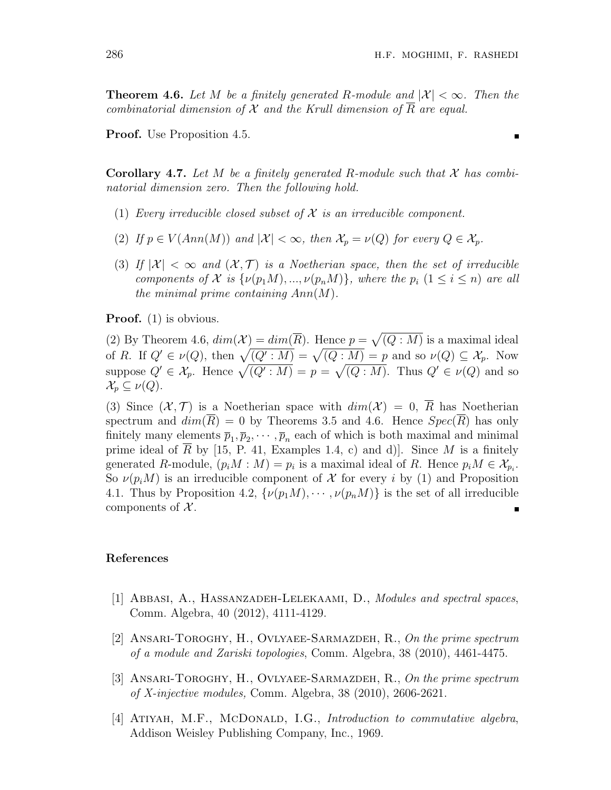**Theorem 4.6.** Let M be a finitely generated R-module and  $|\mathcal{X}| < \infty$ . Then the *combinatorial dimension of*  $X$  *and the Krull dimension of*  $\overline{R}$  *are equal.* 

**Proof.** Use Proposition 4.5.

**Corollary 4.7.** *Let M be a finitely generated R-module such that X has combinatorial dimension zero. Then the following hold.*

- (1) *Every irreducible closed subset of X is an irreducible component.*
- (2) If  $p \in V(Ann(M))$  and  $|\mathcal{X}| < \infty$ , then  $\mathcal{X}_p = \nu(Q)$  for every  $Q \in \mathcal{X}_p$ .
- (3) If  $|\mathcal{X}| < \infty$  and  $(\mathcal{X}, \mathcal{T})$  is a Noetherian space, then the set of irreducible *components of*  $X$  *is*  $\{\nu(p_1M), ..., \nu(p_nM)\}\$ *, where the*  $p_i$  ( $1 \leq i \leq n$ ) *are all the minimal prime containing Ann*(*M*)*.*

**Proof.** (1) is obvious.

(2) By Theorem 4.6,  $dim(\mathcal{X}) = dim(\overline{R})$ . Hence  $p = \sqrt{(Q : M)}$  is a maximal ideal of *R*. If  $Q' \in \nu(Q)$ , then  $\sqrt{(Q':M)} = \sqrt{(Q:M)} = p$  and so  $\nu(Q) \subseteq \mathcal{X}_p$ . Now suppose  $Q' \in \mathcal{X}_p$ . Hence  $\sqrt{(Q' : M)} = p = \sqrt{(Q : M)}$ . Thus  $Q' \in \nu(Q)$  and so  $\mathcal{X}_p \subseteq \nu(Q).$ 

(3) Since  $(\mathcal{X}, \mathcal{T})$  is a Noetherian space with  $dim(\mathcal{X}) = 0$ ,  $\overline{R}$  has Noetherian spectrum and  $dim(R) = 0$  by Theorems 3.5 and 4.6. Hence  $Spec(R)$  has only finitely many elements  $\bar{p}_1, \bar{p}_2, \cdots, \bar{p}_n$  each of which is both maximal and minimal prime ideal of *R* by [15, P. 41, Examples 1.4, c) and d)]. Since *M* is a finitely generated *R*-module,  $(p_i M : M) = p_i$  is a maximal ideal of *R*. Hence  $p_i M \in \mathcal{X}_{p_i}$ . So  $\nu(p_iM)$  is an irreducible component of X for every *i* by (1) and Proposition 4.1. Thus by Proposition 4.2,  $\{\nu(p_1M), \cdots, \nu(p_nM)\}\$ is the set of all irreducible components of *X* .

### **References**

- [1] Abbasi, A., Hassanzadeh-Lelekaami, D., *Modules and spectral spaces*, Comm. Algebra, 40 (2012), 4111-4129.
- [2] Ansari-Toroghy, H., Ovlyaee-Sarmazdeh, R., *On the prime spectrum of a module and Zariski topologies*, Comm. Algebra, 38 (2010), 4461-4475.
- [3] Ansari-Toroghy, H., Ovlyaee-Sarmazdeh, R., *On the prime spectrum of X-injective modules,* Comm. Algebra, 38 (2010), 2606-2621.
- [4] Atiyah, M.F., McDonald, I.G., *Introduction to commutative algebra*, Addison Weisley Publishing Company, Inc., 1969.

Ē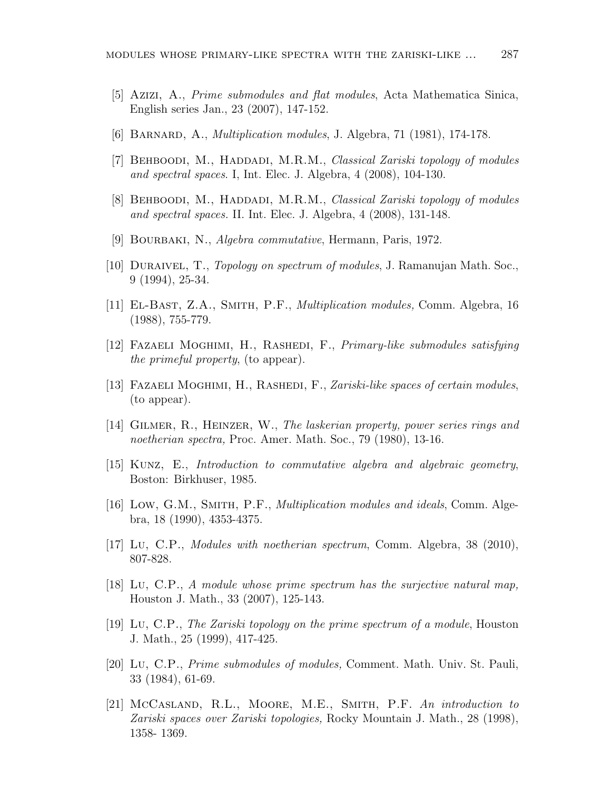- [5] Azizi, A., *Prime submodules and flat modules*, Acta Mathematica Sinica, English series Jan., 23 (2007), 147-152.
- [6] Barnard, A., *Multiplication modules*, J. Algebra, 71 (1981), 174-178.
- [7] BEHBOODI, M., HADDADI, M.R.M., *Classical Zariski topology of modules and spectral spaces*. I, Int. Elec. J. Algebra, 4 (2008), 104-130.
- [8] Behboodi, M., Haddadi, M.R.M., *Classical Zariski topology of modules and spectral spaces.* II. Int. Elec. J. Algebra, 4 (2008), 131-148.
- [9] Bourbaki, N., *Algebra commutative*, Hermann, Paris, 1972.
- [10] Duraivel, T., *Topology on spectrum of modules*, J. Ramanujan Math. Soc., 9 (1994), 25-34.
- [11] El-Bast, Z.A., Smith, P.F., *Multiplication modules,* Comm. Algebra, 16 (1988), 755-779.
- [12] FAZAELI MOGHIMI, H., RASHEDI, F., *Primary-like submodules satisfying the primeful property*, (to appear).
- [13] Fazaeli Moghimi, H., Rashedi, F., *Zariski-like spaces of certain modules*, (to appear).
- [14] Gilmer, R., Heinzer, W., *The laskerian property, power series rings and noetherian spectra,* Proc. Amer. Math. Soc., 79 (1980), 13-16.
- [15] Kunz, E., *Introduction to commutative algebra and algebraic geometry*, Boston: Birkhuser, 1985.
- [16] Low, G.M., Smith, P.F., *Multiplication modules and ideals*, Comm. Algebra, 18 (1990), 4353-4375.
- [17] Lu, C.P., *Modules with noetherian spectrum*, Comm. Algebra, 38 (2010), 807-828.
- [18] Lu, C.P., *A module whose prime spectrum has the surjective natural map,* Houston J. Math., 33 (2007), 125-143.
- [19] Lu, C.P., *The Zariski topology on the prime spectrum of a module*, Houston J. Math., 25 (1999), 417-425.
- [20] Lu, C.P., *Prime submodules of modules,* Comment. Math. Univ. St. Pauli, 33 (1984), 61-69.
- [21] McCasland, R.L., Moore, M.E., Smith, P.F. *An introduction to Zariski spaces over Zariski topologies,* Rocky Mountain J. Math., 28 (1998), 1358- 1369.